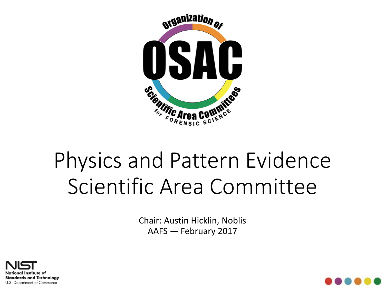

# Physics and Pattern Evidence Scientific Area Committee

Chair: Austin Hicklin, Noblis AAFS — February 2017



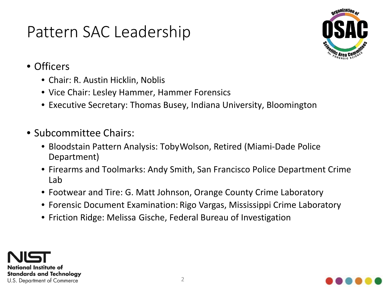### Pattern SAC Leadership



- Officers
	- Chair: R. Austin Hicklin, Noblis
	- Vice Chair: Lesley Hammer, Hammer Forensics
	- Executive Secretary: Thomas Busey, Indiana University, Bloomington
- Subcommittee Chairs:
	- Bloodstain Pattern Analysis: Toby Wolson, Retired (Miami-Dade Police Department)
	- Firearms and Toolmarks: Andy Smith, San Francisco Police Department Crime Lab
	- Footwear and Tire: G. Matt Johnson, Orange County Crime Laboratory
	- Forensic Document Examination: Rigo Vargas, Mississippi Crime Laboratory
	- Friction Ridge: Melissa Gische, Federal Bureau of Investigation



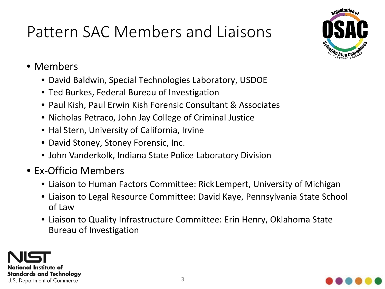## Pattern SAC Members and Liaisons



- Members
	- David Baldwin, Special Technologies Laboratory, USDOE
	- Ted Burkes, Federal Bureau of Investigation
	- Paul Kish, Paul Erwin Kish Forensic Consultant & Associates
	- Nicholas Petraco, John Jay College of Criminal Justice
	- Hal Stern, University of California, Irvine
	- David Stoney, Stoney Forensic, Inc.
	- John Vanderkolk, Indiana State Police Laboratory Division
- Ex-Officio Members
	- Liaison to Human Factors Committee: Rick Lempert, University of Michigan
	- Liaison to Legal Resource Committee: David Kaye, Pennsylvania State School of Law
	- Liaison to Quality Infrastructure Committee: Erin Henry, Oklahoma State Bureau of Investigation



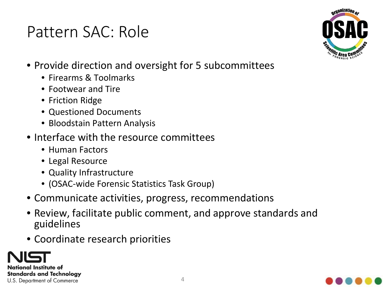### Pattern SAC: Role



- Provide direction and oversight for 5 subcommittees
	- Firearms & Toolmarks
	- Footwear and Tire
	- Friction Ridge
	- Questioned Documents
	- Bloodstain Pattern Analysis
- Interface with the resource committees
	- Human Factors
	- Legal Resource
	- Quality Infrastructure
	- (OSAC-wide Forensic Statistics Task Group)
- Communicate activities, progress, recommendations
- Review, facilitate public comment, and approve standards and guidelines
- Coordinate research priorities



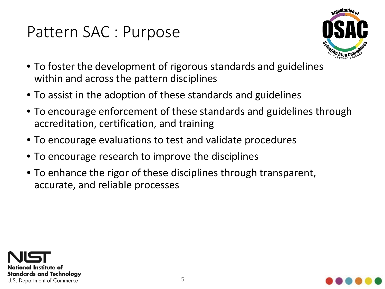### Pattern SAC : Purpose



- To foster the development of rigorous standards and guidelines within and across the pattern disciplines
- To assist in the adoption of these standards and guidelines
- To encourage enforcement of these standards and guidelines through accreditation, certification, and training
- To encourage evaluations to test and validate procedures
- To encourage research to improve the disciplines
- To enhance the rigor of these disciplines through transparent, accurate, and reliable processes



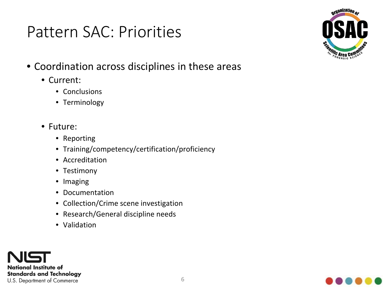### Pattern SAC: Priorities



- Coordination across disciplines in these areas
	- Current:
		- Conclusions
		- Terminology
	- Future:
		- Reporting
		- Training/competency/certification/proficiency
		- Accreditation
		- Testimony
		- Imaging
		- Documentation
		- Collection/Crime scene investigation
		- Research/General discipline needs
		- Validation



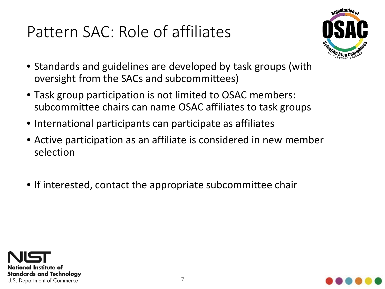## Pattern SAC: Role of affiliates



- Standards and guidelines are developed by task groups (with oversight from the SACs and subcommittees)
- Task group participation is not limited to OSAC members: subcommittee chairs can name OSAC affiliates to task groups
- International participants can participate as affiliates
- Active participation as an affiliate is considered in new member selection
- If interested, contact the appropriate subcommittee chair



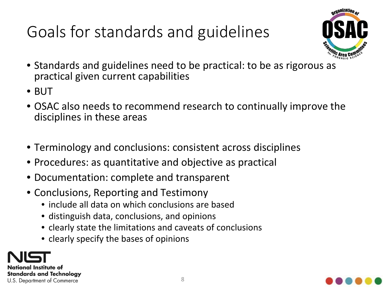## Goals for standards and guidelines



- Standards and guidelines need to be practical: to be as rigorous as practical given current capabilities
- BUT
- OSAC also needs to recommend research to continually improve the disciplines in these areas
- Terminology and conclusions: consistent across disciplines
- Procedures: as quantitative and objective as practical
- Documentation: complete and transparent
- Conclusions, Reporting and Testimony
	- include all data on which conclusions are based
	- distinguish data, conclusions, and opinions
	- clearly state the limitations and caveats of conclusions
	- clearly specify the bases of opinions

National Institute of **Standards and Technology** U.S. Department of Commerce

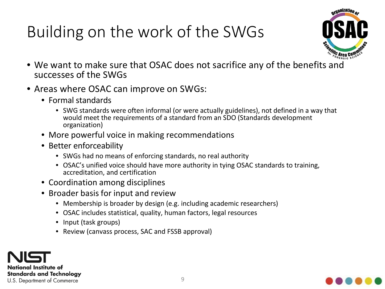## Building on the work of the SWGs



- We want to make sure that OSAC does not sacrifice any of the benefits and successes of the SWGs
- Areas where OSAC can improve on SWGs:
	- Formal standards
		- SWG standards were often informal (or were actually guidelines), not defined in a way that would meet the requirements of a standard from an SDO (Standards development organization)
	- More powerful voice in making recommendations
	- Better enforceability
		- SWGs had no means of enforcing standards, no real authority
		- OSAC's unified voice should have more authority in tying OSAC standards to training, accreditation, and certification
	- Coordination among disciplines
	- Broader basis for input and review
		- Membership is broader by design (e.g. including academic researchers)
		- OSAC includes statistical, quality, human factors, legal resources
		- Input (task groups)
		- Review (canvass process, SAC and FSSB approval)



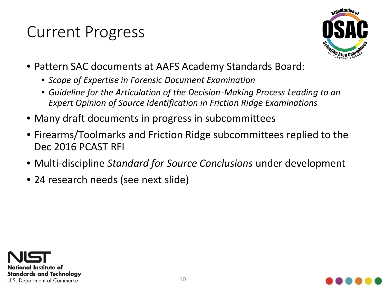### Current Progress



- Pattern SAC documents at AAFS Academy Standards Board:
	- *Scope of Expertise in Forensic Document Examination*
	- *Guideline for the Articulation of the Decision-Making Process Leading to an Expert Opinion of Source Identification in Friction Ridge Examinations*
- Many draft documents in progress in subcommittees
- Firearms/Toolmarks and Friction Ridge subcommittees replied to the Dec 2016 PCAST RFI
- Multi-discipline *Standard for Source Conclusions* under development
- 24 research needs (see next slide)



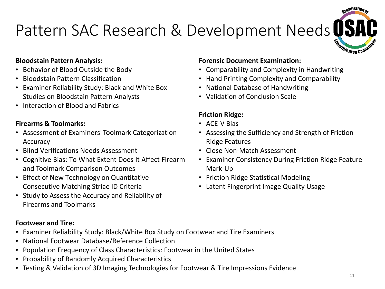## Pattern SAC Research & Development Needs USH



#### **Bloodstain Pattern Analysis:**

- Behavior of Blood Outside the Body
- Bloodstain Pattern Classification
- Examiner Reliability Study: Black and White Box Studies on Bloodstain Pattern Analysts
- Interaction of Blood and Fabrics

#### **Firearms & Toolmarks:**

- Assessment of Examiners' Toolmark Categorization Accuracy
- Blind Verifications Needs Assessment
- Cognitive Bias: To What Extent Does It Affect Firearm and Toolmark Comparison Outcomes
- Effect of New Technology on Quantitative Consecutive Matching Striae ID Criteria
- Study to Assess the Accuracy and Reliability of Firearms and Toolmarks

#### **Footwear and Tire:**

- Examiner Reliability Study: Black/White Box Study on Footwear and Tire Examiners
- National Footwear Database/Reference Collection
- Population Frequency of Class Characteristics: Footwear in the United States
- Probability of Randomly Acquired Characteristics
- Testing & Validation of 3D Imaging Technologies for Footwear & Tire Impressions Evidence

#### **Forensic Document Examination:**

- Comparability and Complexity in Handwriting
- Hand Printing Complexity and Comparability
- National Database of Handwriting
- Validation of Conclusion Scale

#### **Friction Ridge:**

- ACE-V Bias
- Assessing the Sufficiency and Strength of Friction Ridge Features
- Close Non-Match Assessment
- Examiner Consistency During Friction Ridge Feature Mark-Up
- Friction Ridge Statistical Modeling
- Latent Fingerprint Image Quality Usage